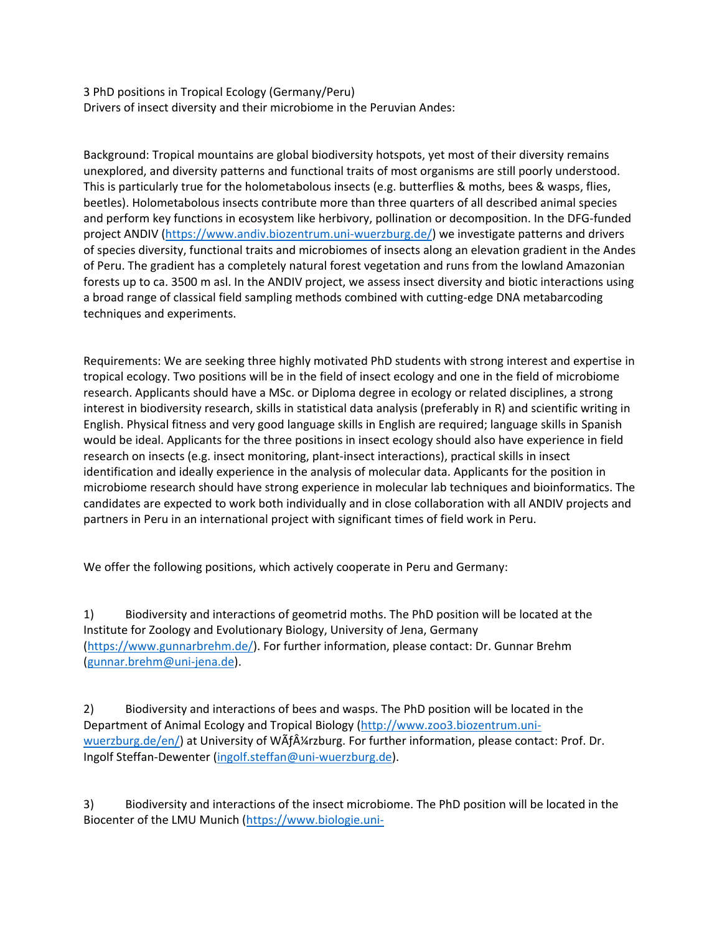3 PhD positions in Tropical Ecology (Germany/Peru) Drivers of insect diversity and their microbiome in the Peruvian Andes:

Background: Tropical mountains are global biodiversity hotspots, yet most of their diversity remains unexplored, and diversity patterns and functional traits of most organisms are still poorly understood. This is particularly true for the holometabolous insects (e.g. butterflies & moths, bees & wasps, flies, beetles). Holometabolous insects contribute more than three quarters of all described animal species and perform key functions in ecosystem like herbivory, pollination or decomposition. In the DFG-funded project ANDIV [\(https://www.andiv.biozentrum.uni-wuerzburg.de/\)](https://www.andiv.biozentrum.uni-wuerzburg.de/) we investigate patterns and drivers of species diversity, functional traits and microbiomes of insects along an elevation gradient in the Andes of Peru. The gradient has a completely natural forest vegetation and runs from the lowland Amazonian forests up to ca. 3500 m asl. In the ANDIV project, we assess insect diversity and biotic interactions using a broad range of classical field sampling methods combined with cutting-edge DNA metabarcoding techniques and experiments.

Requirements: We are seeking three highly motivated PhD students with strong interest and expertise in tropical ecology. Two positions will be in the field of insect ecology and one in the field of microbiome research. Applicants should have a MSc. or Diploma degree in ecology or related disciplines, a strong interest in biodiversity research, skills in statistical data analysis (preferably in R) and scientific writing in English. Physical fitness and very good language skills in English are required; language skills in Spanish would be ideal. Applicants for the three positions in insect ecology should also have experience in field research on insects (e.g. insect monitoring, plant-insect interactions), practical skills in insect identification and ideally experience in the analysis of molecular data. Applicants for the position in microbiome research should have strong experience in molecular lab techniques and bioinformatics. The candidates are expected to work both individually and in close collaboration with all ANDIV projects and partners in Peru in an international project with significant times of field work in Peru.

We offer the following positions, which actively cooperate in Peru and Germany:

1) Biodiversity and interactions of geometrid moths. The PhD position will be located at the Institute for Zoology and Evolutionary Biology, University of Jena, Germany [\(https://www.gunnarbrehm.de/\)](https://www.gunnarbrehm.de/). For further information, please contact: Dr. Gunnar Brehm [\(gunnar.brehm@uni-jena.de\)](mailto:gunnar.brehm@uni-jena.de).

2) Biodiversity and interactions of bees and wasps. The PhD position will be located in the Department of Animal Ecology and Tropical Biology [\(http://www.zoo3.biozentrum.uni](http://www.zoo3.biozentrum.uni-wuerzburg.de/en/)[wuerzburg.de/en/](http://www.zoo3.biozentrum.uni-wuerzburg.de/en/)) at University of WATA Varzburg. For further information, please contact: Prof. Dr. Ingolf Steffan-Dewenter [\(ingolf.steffan@uni-wuerzburg.de\)](mailto:ingolf.steffan@uni-wuerzburg.de).

3) Biodiversity and interactions of the insect microbiome. The PhD position will be located in the Biocenter of the LMU Munich [\(https://www.biologie.uni-](https://www.biologie.uni-muenchen.de/personen/professoren/keller/index.html/)